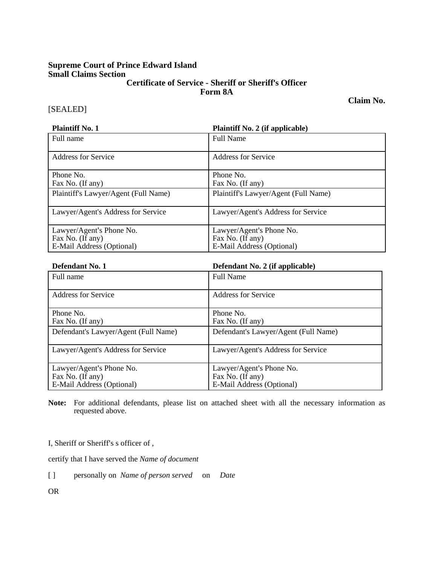### **Supreme Court of Prince Edward Island Small Claims Section Certificate of Service - Sheriff or Sheriff's Officer Form 8A**

**Claim No.** 

# [SEALED]

| <b>Plaintiff No. 1</b>               | <b>Plaintiff No. 2 (if applicable)</b> |
|--------------------------------------|----------------------------------------|
| Full name                            | <b>Full Name</b>                       |
| Address for Service                  | Address for Service                    |
| Phone No.                            | Phone No.                              |
| Fax No. (If any)                     | Fax No. (If any)                       |
| Plaintiff's Lawyer/Agent (Full Name) | Plaintiff's Lawyer/Agent (Full Name)   |
| Lawyer/Agent's Address for Service   | Lawyer/Agent's Address for Service     |
| Lawyer/Agent's Phone No.             | Lawyer/Agent's Phone No.               |
| Fax No. (If any)                     | Fax No. (If any)                       |
| E-Mail Address (Optional)            | E-Mail Address (Optional)              |

| Defendant No. 1                      | Defendant No. 2 (if applicable)      |
|--------------------------------------|--------------------------------------|
| Full name                            | <b>Full Name</b>                     |
| Address for Service                  | Address for Service                  |
| Phone No.                            | Phone No.                            |
| Fax No. (If any)                     | Fax No. (If any)                     |
| Defendant's Lawyer/Agent (Full Name) | Defendant's Lawyer/Agent (Full Name) |
| Lawyer/Agent's Address for Service   | Lawyer/Agent's Address for Service   |
| Lawyer/Agent's Phone No.             | Lawyer/Agent's Phone No.             |
| Fax No. (If any)                     | Fax No. (If any)                     |
| E-Mail Address (Optional)            | E-Mail Address (Optional)            |

**Note:** For additional defendants, please list on attached sheet with all the necessary information as requested above.

I, Sheriff or Sheriff's s officer of,

certify that I have served the *Name of document*

[ ] personally on *Name of person served* on *Date*

OR